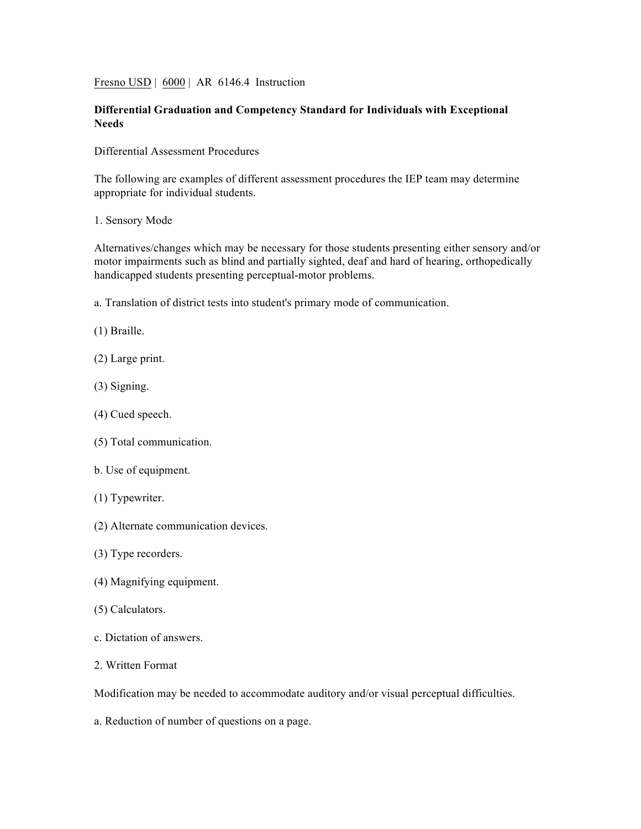Fresno USD | 6000 | AR 6146.4 Instruction

## **Differential Graduation and Competency Standard for Individuals with Exceptional Needs**

Differential Assessment Procedures

The following are examples of different assessment procedures the IEP team may determine appropriate for individual students.

1. Sensory Mode

Alternatives/changes which may be necessary for those students presenting either sensory and/or motor impairments such as blind and partially sighted, deaf and hard of hearing, orthopedically handicapped students presenting perceptual-motor problems.

a. Translation of district tests into student's primary mode of communication.

(1) Braille.

- (2) Large print.
- (3) Signing.
- (4) Cued speech.
- (5) Total communication.
- b. Use of equipment.
- (1) Typewriter.
- (2) Alternate communication devices.
- (3) Type recorders.
- (4) Magnifying equipment.
- (5) Calculators.
- c. Dictation of answers.
- 2. Written Format

Modification may be needed to accommodate auditory and/or visual perceptual difficulties.

a. Reduction of number of questions on a page.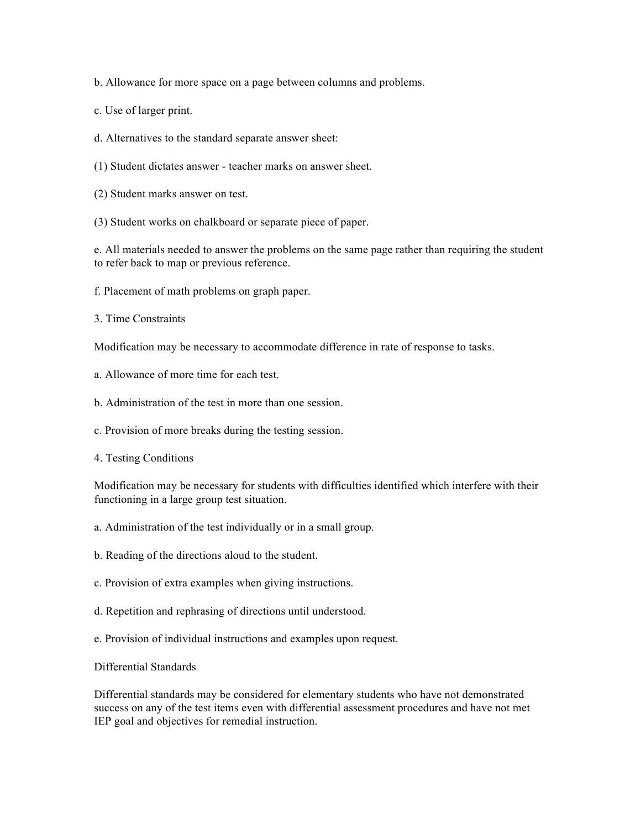b. Allowance for more space on a page between columns and problems.

- c. Use of larger print.
- d. Alternatives to the standard separate answer sheet:
- (1) Student dictates answer teacher marks on answer sheet.
- (2) Student marks answer on test.
- (3) Student works on chalkboard or separate piece of paper.

e. All materials needed to answer the problems on the same page rather than requiring the student to refer back to map or previous reference.

- f. Placement of math problems on graph paper.
- 3. Time Constraints

Modification may be necessary to accommodate difference in rate of response to tasks.

- a. Allowance of more time for each test.
- b. Administration of the test in more than one session.
- c. Provision of more breaks during the testing session.
- 4. Testing Conditions

Modification may be necessary for students with difficulties identified which interfere with their functioning in a large group test situation.

- a. Administration of the test individually or in a small group.
- b. Reading of the directions aloud to the student.
- c. Provision of extra examples when giving instructions.
- d. Repetition and rephrasing of directions until understood.
- e. Provision of individual instructions and examples upon request.

Differential Standards

Differential standards may be considered for elementary students who have not demonstrated success on any of the test items even with differential assessment procedures and have not met IEP goal and objectives for remedial instruction.